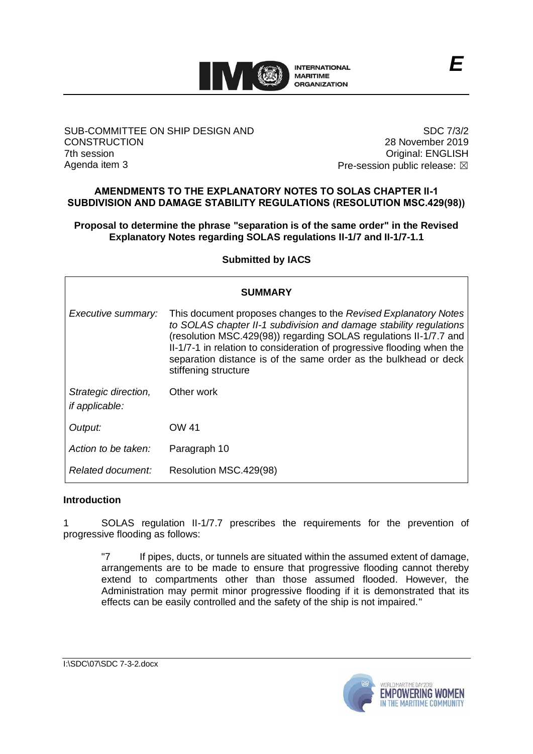

#### SUB-COMMITTEE ON SHIP DESIGN AND **CONSTRUCTION** 7th session Agenda item 3

SDC 7/3/2 28 November 2019 Original: ENGLISH Pre-session public release:  $\boxtimes$ 

#### **AMENDMENTS TO THE EXPLANATORY NOTES TO SOLAS CHAPTER II-1 SUBDIVISION AND DAMAGE STABILITY REGULATIONS (RESOLUTION MSC.429(98))**

### **Proposal to determine the phrase "separation is of the same order" in the Revised Explanatory Notes regarding SOLAS regulations II-1/7 and II-1/7-1.1**

**Submitted by IACS**

| <b>SUMMARY</b>                                |                                                                                                                                                                                                                                                                                                                                                                                  |
|-----------------------------------------------|----------------------------------------------------------------------------------------------------------------------------------------------------------------------------------------------------------------------------------------------------------------------------------------------------------------------------------------------------------------------------------|
| Executive summary:                            | This document proposes changes to the Revised Explanatory Notes<br>to SOLAS chapter II-1 subdivision and damage stability regulations<br>(resolution MSC.429(98)) regarding SOLAS regulations II-1/7.7 and<br>II-1/7-1 in relation to consideration of progressive flooding when the<br>separation distance is of the same order as the bulkhead or deck<br>stiffening structure |
| Strategic direction,<br><i>if applicable:</i> | Other work                                                                                                                                                                                                                                                                                                                                                                       |
| Output:                                       | OW 41                                                                                                                                                                                                                                                                                                                                                                            |
| Action to be taken:                           | Paragraph 10                                                                                                                                                                                                                                                                                                                                                                     |
| Related document:                             | Resolution MSC.429(98)                                                                                                                                                                                                                                                                                                                                                           |

#### **Introduction**

1 SOLAS regulation II-1/7.7 prescribes the requirements for the prevention of progressive flooding as follows:

"7 If pipes, ducts, or tunnels are situated within the assumed extent of damage, arrangements are to be made to ensure that progressive flooding cannot thereby extend to compartments other than those assumed flooded. However, the Administration may permit minor progressive flooding if it is demonstrated that its effects can be easily controlled and the safety of the ship is not impaired."

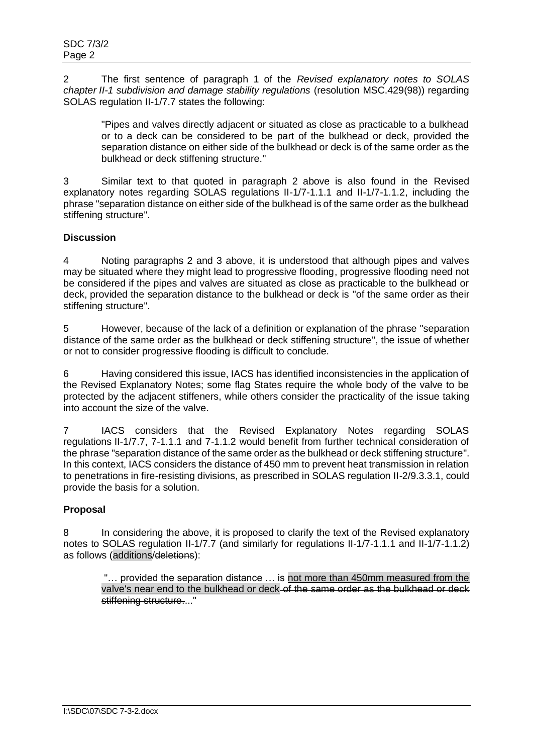2 The first sentence of paragraph 1 of the *Revised explanatory notes to SOLAS chapter II-1 subdivision and damage stability regulations* (resolution MSC.429(98)) regarding SOLAS regulation II-1/7.7 states the following:

"Pipes and valves directly adjacent or situated as close as practicable to a bulkhead or to a deck can be considered to be part of the bulkhead or deck, provided the separation distance on either side of the bulkhead or deck is of the same order as the bulkhead or deck stiffening structure."

3 Similar text to that quoted in paragraph 2 above is also found in the Revised explanatory notes regarding SOLAS regulations II-1/7-1.1.1 and II-1/7-1.1.2, including the phrase "separation distance on either side of the bulkhead is of the same order as the bulkhead stiffening structure".

# **Discussion**

4 Noting paragraphs 2 and 3 above, it is understood that although pipes and valves may be situated where they might lead to progressive flooding, progressive flooding need not be considered if the pipes and valves are situated as close as practicable to the bulkhead or deck, provided the separation distance to the bulkhead or deck is "of the same order as their stiffening structure".

5 However, because of the lack of a definition or explanation of the phrase "separation distance of the same order as the bulkhead or deck stiffening structure", the issue of whether or not to consider progressive flooding is difficult to conclude.

6 Having considered this issue, IACS has identified inconsistencies in the application of the Revised Explanatory Notes; some flag States require the whole body of the valve to be protected by the adjacent stiffeners, while others consider the practicality of the issue taking into account the size of the valve.

7 IACS considers that the Revised Explanatory Notes regarding SOLAS regulations II-1/7.7, 7-1.1.1 and 7-1.1.2 would benefit from further technical consideration of the phrase "separation distance of the same order as the bulkhead or deck stiffening structure". In this context, IACS considers the distance of 450 mm to prevent heat transmission in relation to penetrations in fire-resisting divisions, as prescribed in SOLAS regulation II-2/9.3.3.1, could provide the basis for a solution.

# **Proposal**

8 In considering the above, it is proposed to clarify the text of the Revised explanatory notes to SOLAS regulation II-1/7.7 (and similarly for regulations II-1/7-1.1.1 and II-1/7-1.1.2) as follows (additions/deletions):

"… provided the separation distance … is not more than 450mm measured from the valve's near end to the bulkhead or deck of the same order as the bulkhead or deck stiffening structure...."